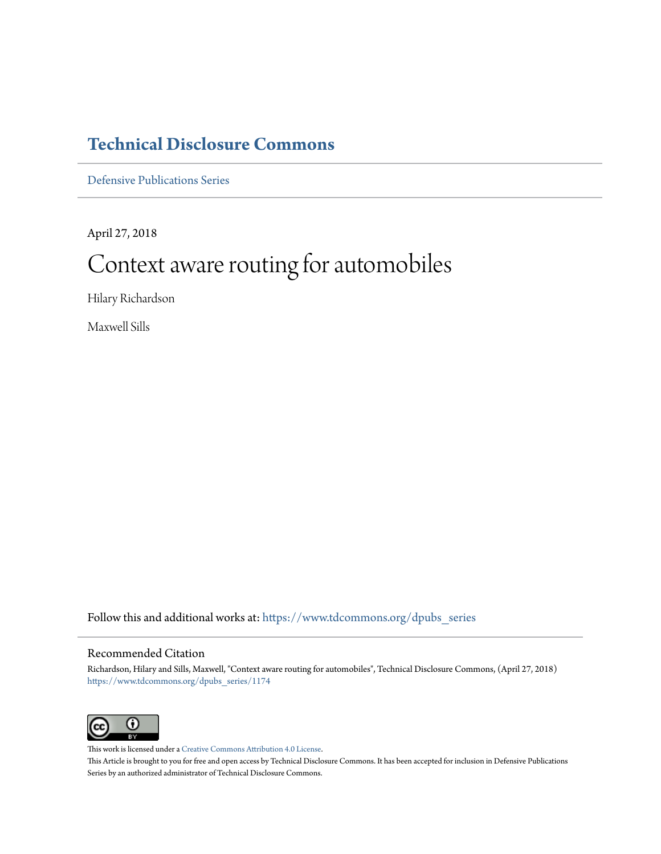# **[Technical Disclosure Commons](https://www.tdcommons.org?utm_source=www.tdcommons.org%2Fdpubs_series%2F1174&utm_medium=PDF&utm_campaign=PDFCoverPages)**

[Defensive Publications Series](https://www.tdcommons.org/dpubs_series?utm_source=www.tdcommons.org%2Fdpubs_series%2F1174&utm_medium=PDF&utm_campaign=PDFCoverPages)

April 27, 2018

# Context aware routing for automobiles

Hilary Richardson

Maxwell Sills

Follow this and additional works at: [https://www.tdcommons.org/dpubs\\_series](https://www.tdcommons.org/dpubs_series?utm_source=www.tdcommons.org%2Fdpubs_series%2F1174&utm_medium=PDF&utm_campaign=PDFCoverPages)

# Recommended Citation

Richardson, Hilary and Sills, Maxwell, "Context aware routing for automobiles", Technical Disclosure Commons, (April 27, 2018) [https://www.tdcommons.org/dpubs\\_series/1174](https://www.tdcommons.org/dpubs_series/1174?utm_source=www.tdcommons.org%2Fdpubs_series%2F1174&utm_medium=PDF&utm_campaign=PDFCoverPages)



This work is licensed under a [Creative Commons Attribution 4.0 License.](http://creativecommons.org/licenses/by/4.0/deed.en_US) This Article is brought to you for free and open access by Technical Disclosure Commons. It has been accepted for inclusion in Defensive Publications Series by an authorized administrator of Technical Disclosure Commons.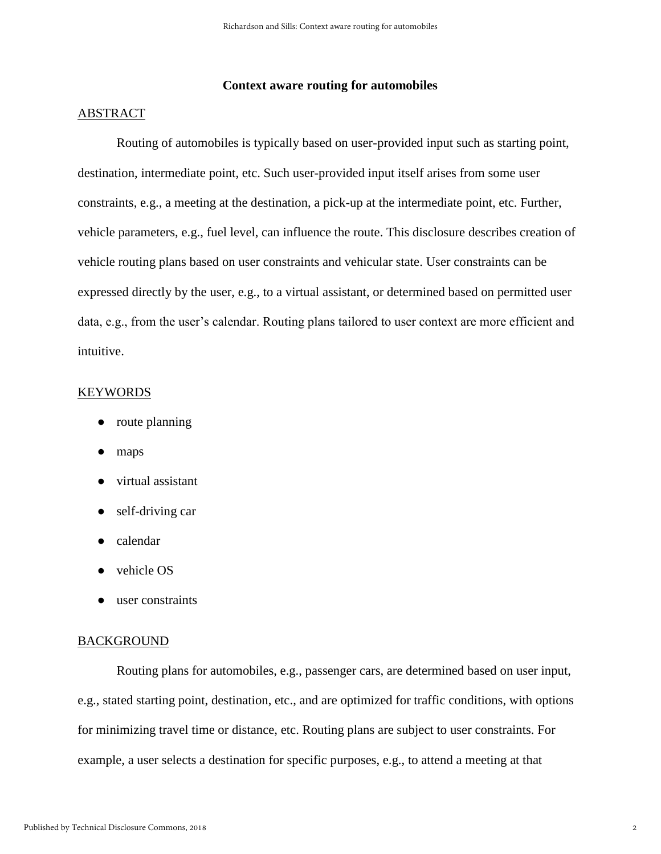# **Context aware routing for automobiles**

# ABSTRACT

Routing of automobiles is typically based on user-provided input such as starting point, destination, intermediate point, etc. Such user-provided input itself arises from some user constraints, e.g., a meeting at the destination, a pick-up at the intermediate point, etc. Further, vehicle parameters, e.g., fuel level, can influence the route. This disclosure describes creation of vehicle routing plans based on user constraints and vehicular state. User constraints can be expressed directly by the user, e.g., to a virtual assistant, or determined based on permitted user data, e.g., from the user's calendar. Routing plans tailored to user context are more efficient and intuitive.

# KEYWORDS

- route planning
- maps
- virtual assistant
- self-driving car
- calendar
- vehicle OS
- user constraints

#### BACKGROUND

Routing plans for automobiles, e.g., passenger cars, are determined based on user input, e.g., stated starting point, destination, etc., and are optimized for traffic conditions, with options for minimizing travel time or distance, etc. Routing plans are subject to user constraints. For example, a user selects a destination for specific purposes, e.g., to attend a meeting at that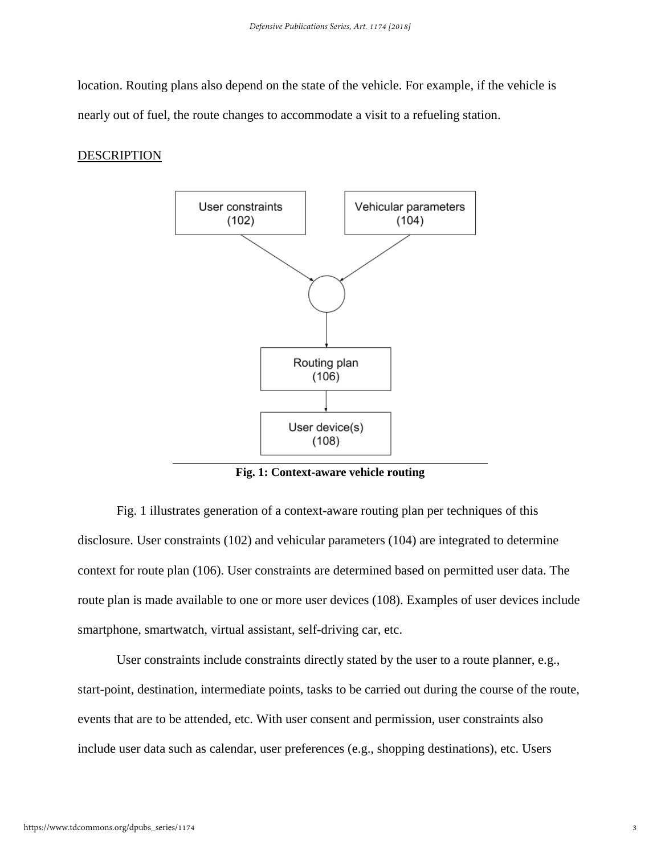location. Routing plans also depend on the state of the vehicle. For example, if the vehicle is nearly out of fuel, the route changes to accommodate a visit to a refueling station.

# DESCRIPTION



**Fig. 1: Context-aware vehicle routing**

Fig. 1 illustrates generation of a context-aware routing plan per techniques of this disclosure. User constraints (102) and vehicular parameters (104) are integrated to determine context for route plan (106). User constraints are determined based on permitted user data. The route plan is made available to one or more user devices (108). Examples of user devices include smartphone, smartwatch, virtual assistant, self-driving car, etc.

User constraints include constraints directly stated by the user to a route planner, e.g., start-point, destination, intermediate points, tasks to be carried out during the course of the route, events that are to be attended, etc. With user consent and permission, user constraints also include user data such as calendar, user preferences (e.g., shopping destinations), etc. Users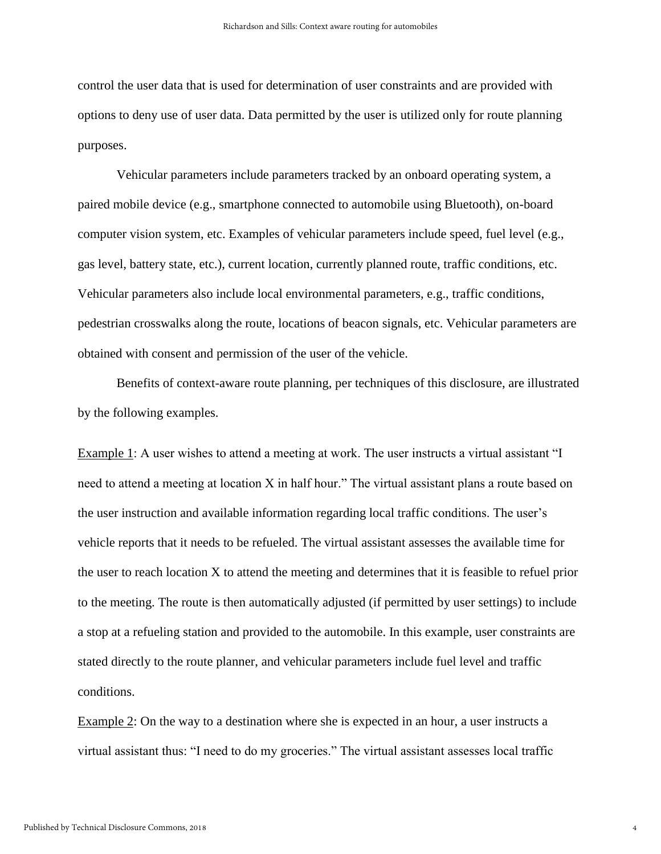control the user data that is used for determination of user constraints and are provided with options to deny use of user data. Data permitted by the user is utilized only for route planning purposes.

Vehicular parameters include parameters tracked by an onboard operating system, a paired mobile device (e.g., smartphone connected to automobile using Bluetooth), on-board computer vision system, etc. Examples of vehicular parameters include speed, fuel level (e.g., gas level, battery state, etc.), current location, currently planned route, traffic conditions, etc. Vehicular parameters also include local environmental parameters, e.g., traffic conditions, pedestrian crosswalks along the route, locations of beacon signals, etc. Vehicular parameters are obtained with consent and permission of the user of the vehicle.

Benefits of context-aware route planning, per techniques of this disclosure, are illustrated by the following examples.

Example 1: A user wishes to attend a meeting at work. The user instructs a virtual assistant "I need to attend a meeting at location X in half hour." The virtual assistant plans a route based on the user instruction and available information regarding local traffic conditions. The user's vehicle reports that it needs to be refueled. The virtual assistant assesses the available time for the user to reach location X to attend the meeting and determines that it is feasible to refuel prior to the meeting. The route is then automatically adjusted (if permitted by user settings) to include a stop at a refueling station and provided to the automobile. In this example, user constraints are stated directly to the route planner, and vehicular parameters include fuel level and traffic conditions.

Example 2: On the way to a destination where she is expected in an hour, a user instructs a virtual assistant thus: "I need to do my groceries." The virtual assistant assesses local traffic

4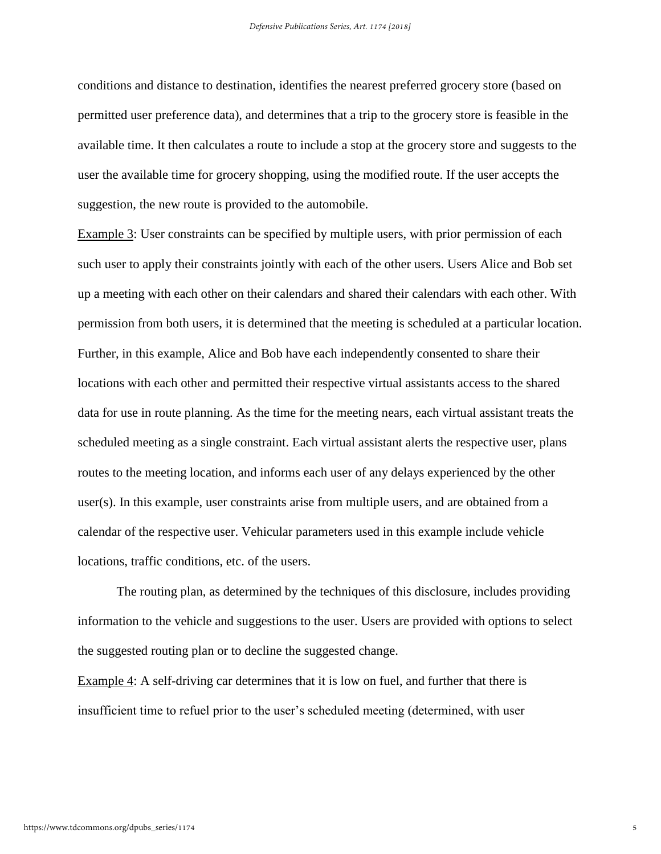conditions and distance to destination, identifies the nearest preferred grocery store (based on permitted user preference data), and determines that a trip to the grocery store is feasible in the available time. It then calculates a route to include a stop at the grocery store and suggests to the user the available time for grocery shopping, using the modified route. If the user accepts the suggestion, the new route is provided to the automobile.

Example 3: User constraints can be specified by multiple users, with prior permission of each such user to apply their constraints jointly with each of the other users. Users Alice and Bob set up a meeting with each other on their calendars and shared their calendars with each other. With permission from both users, it is determined that the meeting is scheduled at a particular location. Further, in this example, Alice and Bob have each independently consented to share their locations with each other and permitted their respective virtual assistants access to the shared data for use in route planning. As the time for the meeting nears, each virtual assistant treats the scheduled meeting as a single constraint. Each virtual assistant alerts the respective user, plans routes to the meeting location, and informs each user of any delays experienced by the other user(s). In this example, user constraints arise from multiple users, and are obtained from a calendar of the respective user. Vehicular parameters used in this example include vehicle locations, traffic conditions, etc. of the users.

The routing plan, as determined by the techniques of this disclosure, includes providing information to the vehicle and suggestions to the user. Users are provided with options to select the suggested routing plan or to decline the suggested change.

Example 4: A self-driving car determines that it is low on fuel, and further that there is insufficient time to refuel prior to the user's scheduled meeting (determined, with user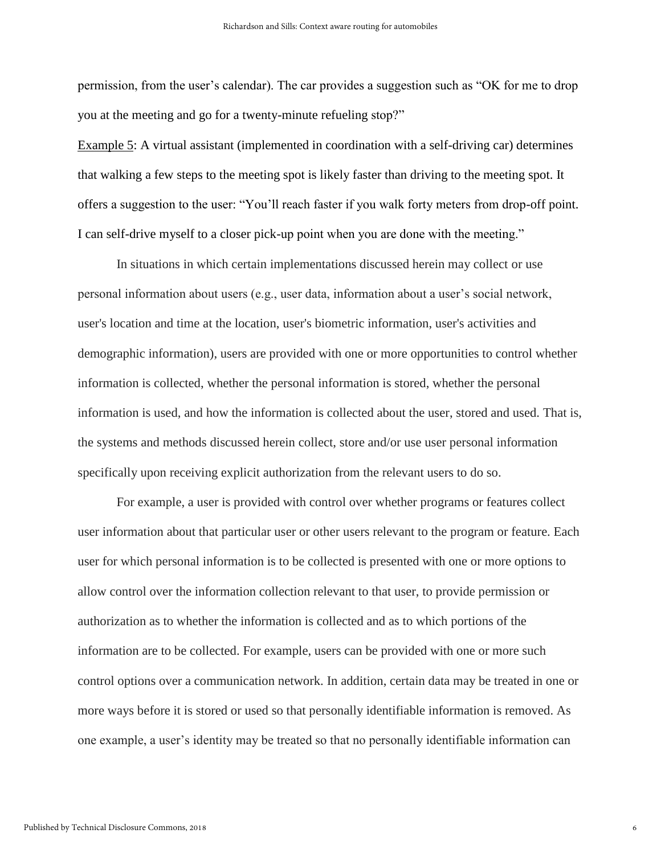permission, from the user's calendar). The car provides a suggestion such as "OK for me to drop you at the meeting and go for a twenty-minute refueling stop?"

Example 5: A virtual assistant (implemented in coordination with a self-driving car) determines that walking a few steps to the meeting spot is likely faster than driving to the meeting spot. It offers a suggestion to the user: "You'll reach faster if you walk forty meters from drop-off point. I can self-drive myself to a closer pick-up point when you are done with the meeting."

In situations in which certain implementations discussed herein may collect or use personal information about users (e.g., user data, information about a user's social network, user's location and time at the location, user's biometric information, user's activities and demographic information), users are provided with one or more opportunities to control whether information is collected, whether the personal information is stored, whether the personal information is used, and how the information is collected about the user, stored and used. That is, the systems and methods discussed herein collect, store and/or use user personal information specifically upon receiving explicit authorization from the relevant users to do so.

For example, a user is provided with control over whether programs or features collect user information about that particular user or other users relevant to the program or feature. Each user for which personal information is to be collected is presented with one or more options to allow control over the information collection relevant to that user, to provide permission or authorization as to whether the information is collected and as to which portions of the information are to be collected. For example, users can be provided with one or more such control options over a communication network. In addition, certain data may be treated in one or more ways before it is stored or used so that personally identifiable information is removed. As one example, a user's identity may be treated so that no personally identifiable information can

6